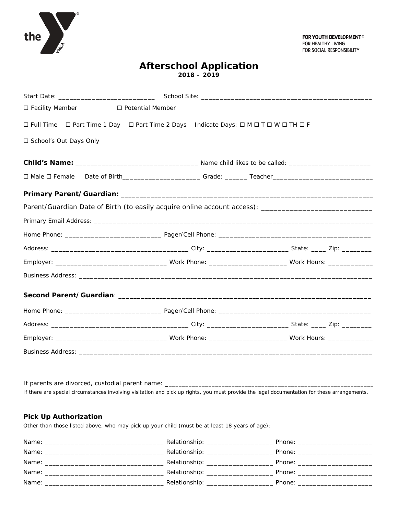

# **Afterschool Application 2018 – 2019**

| □ Facility Member<br>□ Potential Member                                                                         |  |  |
|-----------------------------------------------------------------------------------------------------------------|--|--|
| □ Full Time □ Part Time 1 Day □ Part Time 2 Days Indicate Days: □ M □ T □ W □ TH □ F                            |  |  |
| □ School's Out Days Only                                                                                        |  |  |
|                                                                                                                 |  |  |
| □ Male □ Female Date of Birth___________________________Grade: ________Teacher_________________________________ |  |  |
|                                                                                                                 |  |  |
| Parent/Guardian Date of Birth (to easily acquire online account access): ___________________________            |  |  |
|                                                                                                                 |  |  |
|                                                                                                                 |  |  |
|                                                                                                                 |  |  |
|                                                                                                                 |  |  |
|                                                                                                                 |  |  |
|                                                                                                                 |  |  |
|                                                                                                                 |  |  |
|                                                                                                                 |  |  |
|                                                                                                                 |  |  |
|                                                                                                                 |  |  |

If parents are divorced, custodial parent name: \_ *If there are special circumstances involving visitation and pick up rights, you must provide the legal documentation for these arrangements.*

## **Pick Up Authorization**

Other than those listed above, who may pick up your child (must be at least 18 years of age):

| Name:<br><u> 1980 - Jan Berlin, mars et al. (b. 1980)</u> | Relationship: _________________ | Phone: the contract of the contract of the contract of the contract of the contract of the contract of the contract of the contract of the contract of the contract of the contract of the contract of the contract of the con |
|-----------------------------------------------------------|---------------------------------|--------------------------------------------------------------------------------------------------------------------------------------------------------------------------------------------------------------------------------|
| Name:                                                     |                                 | Phone: _______________                                                                                                                                                                                                         |
|                                                           | Relationship: _________________ | Phone: _____________________                                                                                                                                                                                                   |
| Name:                                                     |                                 | Phone: <u>__________</u>                                                                                                                                                                                                       |
| Name:                                                     | Relationship: ________________  | Phone: the contract of the contract of the contract of the contract of the contract of the contract of the contract of the contract of the contract of the contract of the contract of the contract of the contract of the con |
|                                                           |                                 |                                                                                                                                                                                                                                |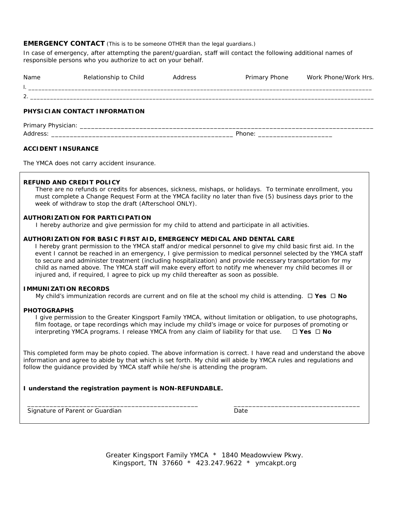#### **EMERGENCY CONTACT** (This is to be someone OTHER than the legal quardians.)

In case of emergency, after attempting the parent/guardian, staff will contact the following additional names of responsible persons who you authorize to act on your behalf.

| ∸ |  |  |
|---|--|--|

## **PHYSICIAN CONTACT INFORMATION**

| <b>Primary</b><br>◥.<br>$-$ |                                            |
|-----------------------------|--------------------------------------------|
| Addres<br>ິບປປ              | DI-<br>$\cdots$<br>________________<br>___ |

#### **ACCIDENT INSURANCE**

The YMCA does not carry accident insurance.

### **REFUND AND CREDIT POLICY**

 There are no refunds or credits for absences, sickness, mishaps, or holidays. To terminate enrollment, you must complete a Change Request Form at the YMCA facility no later than five (5) business days prior to the week of withdraw to stop the draft (Afterschool ONLY).

#### **AUTHORIZATION FOR PARTICIPATION**

I hereby authorize and give permission for my child to attend and participate in all activities.

#### **AUTHORIZATION FOR BASIC FIRST AID, EMERGENCY MEDICAL AND DENTAL CARE**

I hereby grant permission to the YMCA staff and/or medical personnel to give my child basic first aid. In the event I cannot be reached in an emergency, I give permission to medical personnel selected by the YMCA staff to secure and administer treatment (including hospitalization) and provide necessary transportation for my child as named above. The YMCA staff will make every effort to notify me whenever my child becomes ill or injured and, if required, I agree to pick up my child thereafter as soon as possible.

#### **IMMUNIZATION RECORDS**

My child's immunization records are current and on file at the school my child is attending.  $\Box$  Yes  $\Box$  No

#### **PHOTOGRAPHS**

I give permission to the Greater Kingsport Family YMCA, without limitation or obligation, to use photographs, film footage, or tape recordings which may include my child's image or voice for purposes of promoting or interpreting YMCA programs. I release YMCA from any claim of liability for that use.  $\Box$  Yes  $\Box$  No

This completed form may be photo copied. The above information is correct. I have read and understand the above information and agree to abide by that which is set forth. My child will abide by YMCA rules and regulations and follow the guidance provided by YMCA staff while he/she is attending the program.

#### **I understand the registration payment is NON-REFUNDABLE.**

 \_\_\_\_\_\_\_\_\_\_\_\_\_\_\_\_\_\_\_\_\_\_\_\_\_\_\_\_\_\_\_\_\_\_\_\_\_\_\_\_\_\_\_\_\_\_ \_\_\_\_\_\_\_\_\_\_\_\_\_\_\_\_\_\_\_\_\_\_\_\_\_\_\_\_\_\_\_\_\_\_ Signature of Parent or Guardian Date Date

Greater Kingsport Family YMCA \* 1840 Meadowview Pkwy. Kingsport, TN 37660 \* 423.247.9622 \* ymcakpt.org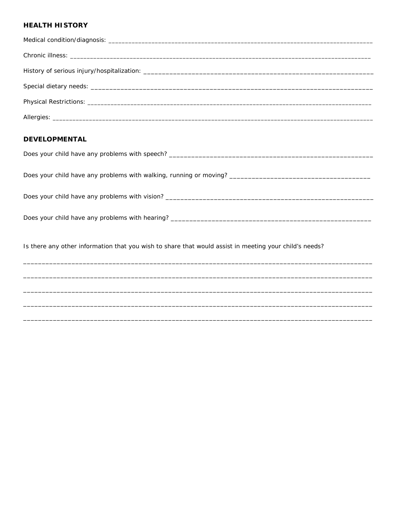## **HEALTH HISTORY**

| <b>DEVELOPMENTAL</b>                                                                                   |
|--------------------------------------------------------------------------------------------------------|
|                                                                                                        |
|                                                                                                        |
|                                                                                                        |
|                                                                                                        |
| Is there any other information that you wish to share that would assist in meeting your child's needs? |
|                                                                                                        |
|                                                                                                        |
|                                                                                                        |

,我们也不能在这里的人,我们也不能在这里的人,我们也不能在这里的人,我们也不能在这里的人,我们也不能在这里的人,我们也不能在这里的人,我们也不能在这里的人,我们也